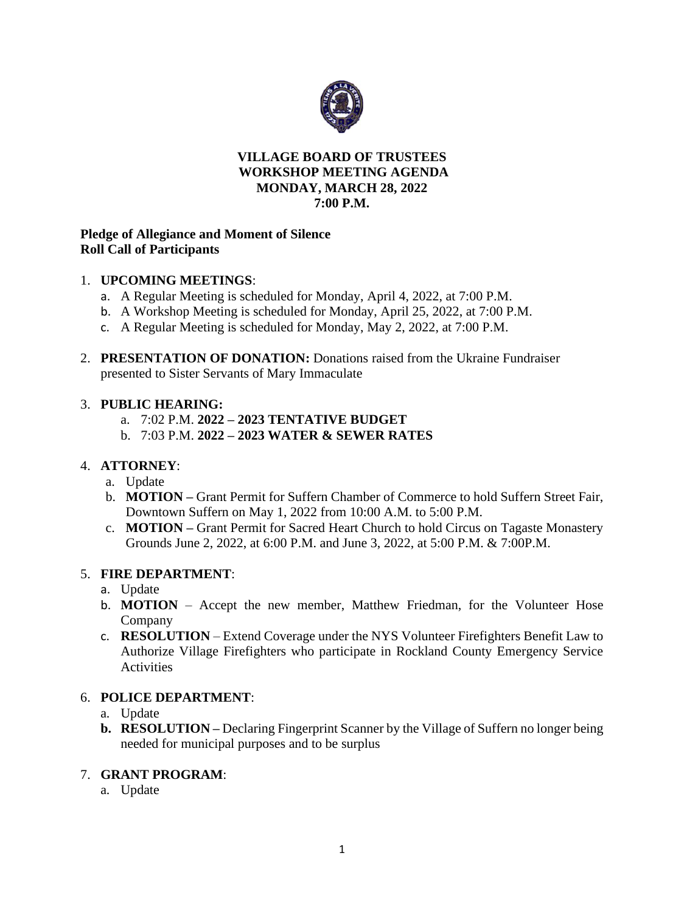

### **VILLAGE BOARD OF TRUSTEES WORKSHOP MEETING AGENDA MONDAY, MARCH 28, 2022 7:00 P.M.**

### **Pledge of Allegiance and Moment of Silence Roll Call of Participants**

## 1. **UPCOMING MEETINGS**:

- a. A Regular Meeting is scheduled for Monday, April 4, 2022, at 7:00 P.M.
- b. A Workshop Meeting is scheduled for Monday, April 25, 2022, at 7:00 P.M.
- c. A Regular Meeting is scheduled for Monday, May 2, 2022, at 7:00 P.M.
- 2. **PRESENTATION OF DONATION:** Donations raised from the Ukraine Fundraiser presented to Sister Servants of Mary Immaculate

### 3. **PUBLIC HEARING:**

- a. 7:02 P.M. **2022 – 2023 TENTATIVE BUDGET**
- b. 7:03 P.M. **2022 – 2023 WATER & SEWER RATES**

# 4. **ATTORNEY**:

- a. Update
- b. **MOTION –** Grant Permit for Suffern Chamber of Commerce to hold Suffern Street Fair, Downtown Suffern on May 1, 2022 from 10:00 A.M. to 5:00 P.M.
- c. **MOTION –** Grant Permit for Sacred Heart Church to hold Circus on Tagaste Monastery Grounds June 2, 2022, at 6:00 P.M. and June 3, 2022, at 5:00 P.M. & 7:00P.M.

### 5. **FIRE DEPARTMENT**:

- a. Update
- b. **MOTION** Accept the new member, Matthew Friedman, for the Volunteer Hose Company
- c. **RESOLUTION**  Extend Coverage under the NYS Volunteer Firefighters Benefit Law to Authorize Village Firefighters who participate in Rockland County Emergency Service **Activities**

# 6. **POLICE DEPARTMENT**:

- a. Update
- **b. RESOLUTION –** Declaring Fingerprint Scanner by the Village of Suffern no longer being needed for municipal purposes and to be surplus

### 7. **GRANT PROGRAM**:

a. Update